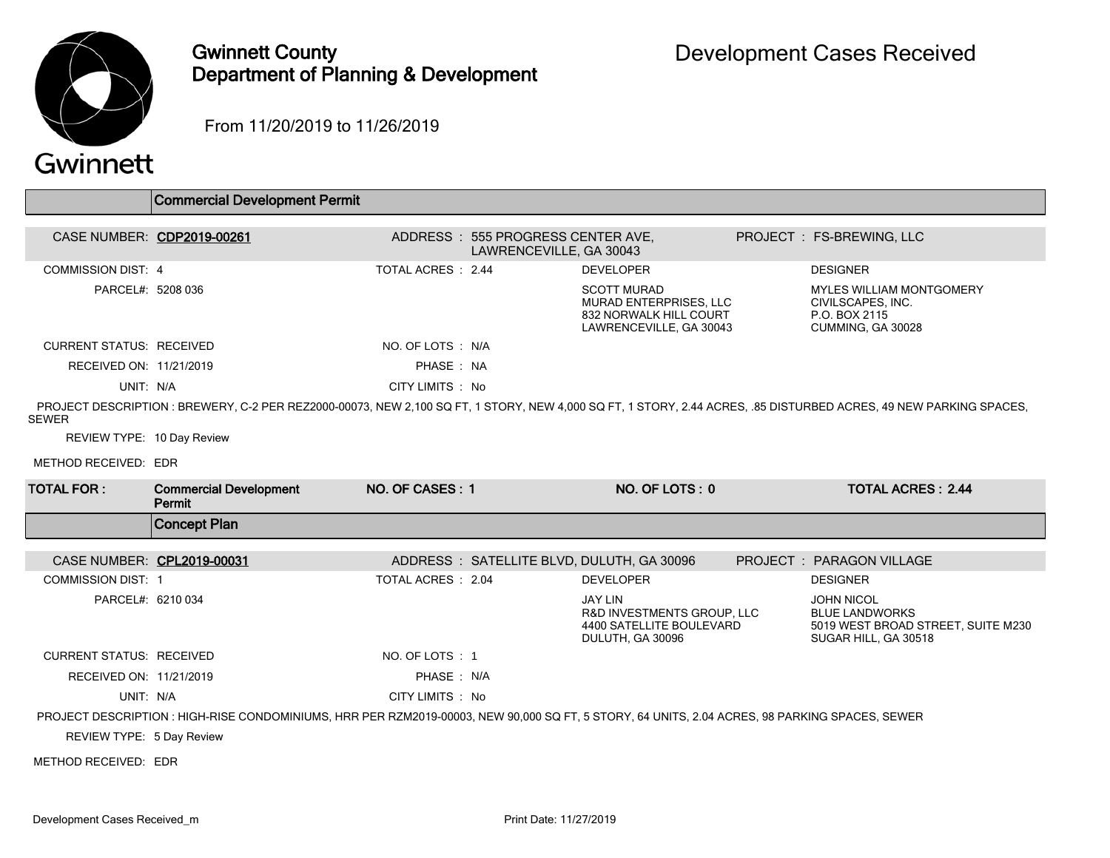

## Gwinnett County Department of Planning & Development

From 11/20/2019 to 11/26/2019

|                                 | <b>Commercial Development Permit</b>                                                                                                           |                    |                                                              |                                                                                                   |                                                                                                                                                                  |
|---------------------------------|------------------------------------------------------------------------------------------------------------------------------------------------|--------------------|--------------------------------------------------------------|---------------------------------------------------------------------------------------------------|------------------------------------------------------------------------------------------------------------------------------------------------------------------|
| CASE NUMBER: CDP2019-00261      |                                                                                                                                                |                    | ADDRESS: 555 PROGRESS CENTER AVE,<br>LAWRENCEVILLE, GA 30043 |                                                                                                   | PROJECT : FS-BREWING, LLC                                                                                                                                        |
| <b>COMMISSION DIST: 4</b>       |                                                                                                                                                | TOTAL ACRES : 2.44 |                                                              | <b>DEVELOPER</b>                                                                                  | <b>DESIGNER</b>                                                                                                                                                  |
| PARCEL#: 5208 036               |                                                                                                                                                |                    |                                                              | <b>SCOTT MURAD</b><br>MURAD ENTERPRISES, LLC<br>832 NORWALK HILL COURT<br>LAWRENCEVILLE, GA 30043 | <b>MYLES WILLIAM MONTGOMERY</b><br>CIVILSCAPES, INC.<br>P.O. BOX 2115<br>CUMMING, GA 30028                                                                       |
| <b>CURRENT STATUS: RECEIVED</b> |                                                                                                                                                | NO. OF LOTS : N/A  |                                                              |                                                                                                   |                                                                                                                                                                  |
| RECEIVED ON: 11/21/2019         |                                                                                                                                                | PHASE: NA          |                                                              |                                                                                                   |                                                                                                                                                                  |
| UNIT: N/A                       |                                                                                                                                                | CITY LIMITS : No   |                                                              |                                                                                                   |                                                                                                                                                                  |
| <b>SEWER</b>                    |                                                                                                                                                |                    |                                                              |                                                                                                   | PROJECT DESCRIPTION: BREWERY, C-2 PER REZ2000-00073, NEW 2,100 SQ FT, 1 STORY, NEW 4,000 SQ FT, 1 STORY, 2.44 ACRES, .85 DISTURBED ACRES, 49 NEW PARKING SPACES, |
| REVIEW TYPE: 10 Day Review      |                                                                                                                                                |                    |                                                              |                                                                                                   |                                                                                                                                                                  |
| METHOD RECEIVED: EDR            |                                                                                                                                                |                    |                                                              |                                                                                                   |                                                                                                                                                                  |
| <b>TOTAL FOR:</b>               | <b>Commercial Development</b><br>Permit                                                                                                        | NO. OF CASES: 1    |                                                              | NO. OF LOTS: 0                                                                                    | <b>TOTAL ACRES: 2.44</b>                                                                                                                                         |
|                                 | <b>Concept Plan</b>                                                                                                                            |                    |                                                              |                                                                                                   |                                                                                                                                                                  |
| CASE NUMBER: CPL2019-00031      |                                                                                                                                                |                    |                                                              |                                                                                                   | PROJECT: PARAGON VILLAGE                                                                                                                                         |
| <b>COMMISSION DIST: 1</b>       |                                                                                                                                                | TOTAL ACRES: 2.04  |                                                              | ADDRESS: SATELLITE BLVD, DULUTH, GA 30096<br><b>DEVELOPER</b>                                     | <b>DESIGNER</b>                                                                                                                                                  |
| PARCEL#: 6210 034               |                                                                                                                                                |                    |                                                              | <b>JAY LIN</b>                                                                                    | <b>JOHN NICOL</b>                                                                                                                                                |
|                                 |                                                                                                                                                |                    |                                                              |                                                                                                   |                                                                                                                                                                  |
|                                 |                                                                                                                                                |                    |                                                              | <b>R&amp;D INVESTMENTS GROUP. LLC</b><br>4400 SATELLITE BOULEVARD<br>DULUTH, GA 30096             | <b>BLUE LANDWORKS</b><br>5019 WEST BROAD STREET, SUITE M230<br>SUGAR HILL, GA 30518                                                                              |
| <b>CURRENT STATUS: RECEIVED</b> |                                                                                                                                                | NO. OF LOTS : 1    |                                                              |                                                                                                   |                                                                                                                                                                  |
| RECEIVED ON: 11/21/2019         |                                                                                                                                                | PHASE: N/A         |                                                              |                                                                                                   |                                                                                                                                                                  |
| UNIT: N/A                       |                                                                                                                                                | CITY LIMITS : No   |                                                              |                                                                                                   |                                                                                                                                                                  |
|                                 | PROJECT DESCRIPTION : HIGH-RISE CONDOMINIUMS, HRR PER RZM2019-00003, NEW 90,000 SQ FT, 5 STORY, 64 UNITS, 2.04 ACRES, 98 PARKING SPACES, SEWER |                    |                                                              |                                                                                                   |                                                                                                                                                                  |
| REVIEW TYPE: 5 Day Review       |                                                                                                                                                |                    |                                                              |                                                                                                   |                                                                                                                                                                  |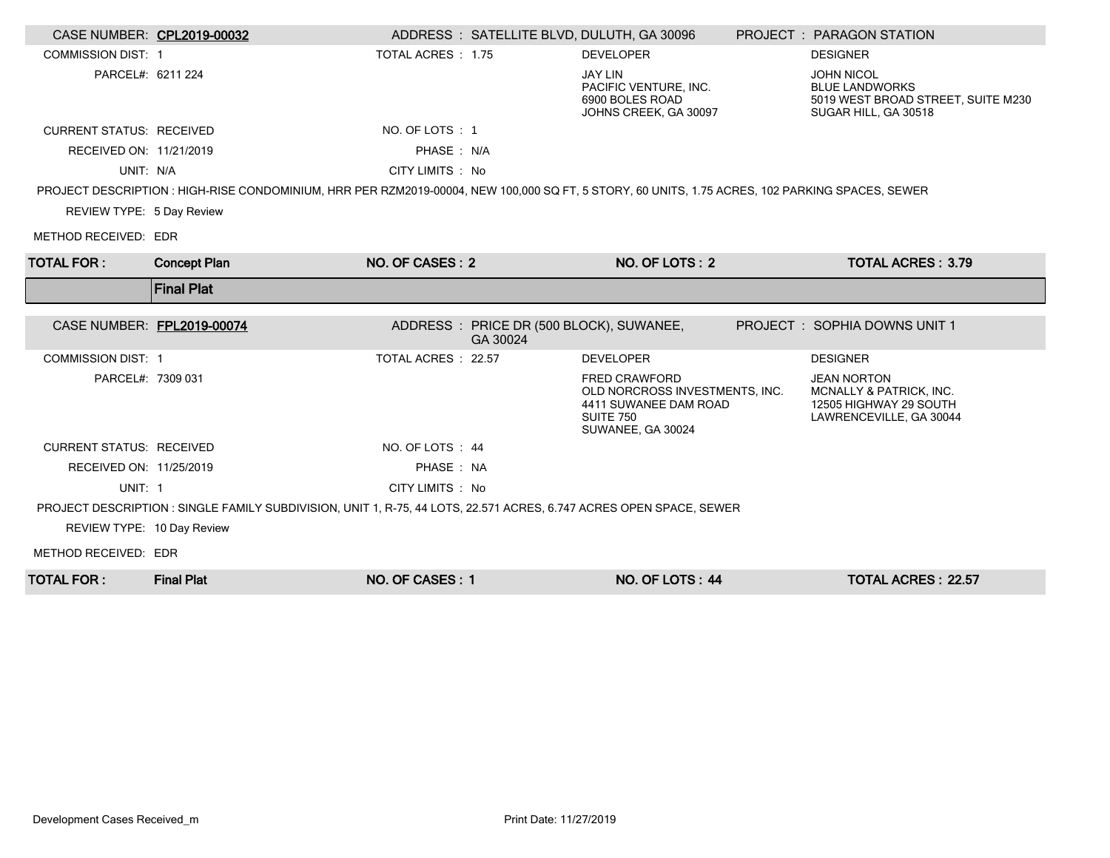| CASE NUMBER: CPL2019-00032      |                                                                                                                                                 | ADDRESS : SATELLITE BLVD, DULUTH, GA 30096           |                                                                                                                          | PROJECT: PARAGON STATION                                                                                 |
|---------------------------------|-------------------------------------------------------------------------------------------------------------------------------------------------|------------------------------------------------------|--------------------------------------------------------------------------------------------------------------------------|----------------------------------------------------------------------------------------------------------|
| <b>COMMISSION DIST: 1</b>       |                                                                                                                                                 | TOTAL ACRES : 1.75                                   | <b>DEVELOPER</b>                                                                                                         | <b>DESIGNER</b>                                                                                          |
| PARCEL#: 6211 224               |                                                                                                                                                 |                                                      | <b>JAY LIN</b><br>PACIFIC VENTURE. INC.<br>6900 BOLES ROAD<br>JOHNS CREEK, GA 30097                                      | <b>JOHN NICOL</b><br><b>BLUE LANDWORKS</b><br>5019 WEST BROAD STREET, SUITE M230<br>SUGAR HILL, GA 30518 |
| <b>CURRENT STATUS: RECEIVED</b> |                                                                                                                                                 | NO. OF LOTS: 1                                       |                                                                                                                          |                                                                                                          |
| RECEIVED ON: 11/21/2019         |                                                                                                                                                 | PHASE: N/A                                           |                                                                                                                          |                                                                                                          |
| UNIT: N/A                       |                                                                                                                                                 | CITY LIMITS : No                                     |                                                                                                                          |                                                                                                          |
|                                 | PROJECT DESCRIPTION : HIGH-RISE CONDOMINIUM, HRR PER RZM2019-00004, NEW 100,000 SQ FT, 5 STORY, 60 UNITS, 1.75 ACRES, 102 PARKING SPACES, SEWER |                                                      |                                                                                                                          |                                                                                                          |
| REVIEW TYPE: 5 Day Review       |                                                                                                                                                 |                                                      |                                                                                                                          |                                                                                                          |
| METHOD RECEIVED: EDR            |                                                                                                                                                 |                                                      |                                                                                                                          |                                                                                                          |
| <b>TOTAL FOR :</b>              | <b>Concept Plan</b>                                                                                                                             | NO. OF CASES: 2                                      | NO. OF LOTS: 2                                                                                                           | <b>TOTAL ACRES: 3.79</b>                                                                                 |
|                                 | <b>Final Plat</b>                                                                                                                               |                                                      |                                                                                                                          |                                                                                                          |
|                                 |                                                                                                                                                 |                                                      |                                                                                                                          |                                                                                                          |
| CASE NUMBER: FPL2019-00074      |                                                                                                                                                 | ADDRESS : PRICE DR (500 BLOCK), SUWANEE,<br>GA 30024 |                                                                                                                          | PROJECT : SOPHIA DOWNS UNIT 1                                                                            |
| <b>COMMISSION DIST: 1</b>       |                                                                                                                                                 | TOTAL ACRES : 22.57                                  | <b>DEVELOPER</b>                                                                                                         | <b>DESIGNER</b>                                                                                          |
| PARCEL#: 7309 031               |                                                                                                                                                 |                                                      | <b>FRED CRAWFORD</b><br>OLD NORCROSS INVESTMENTS, INC.<br>4411 SUWANEE DAM ROAD<br><b>SUITE 750</b><br>SUWANEE, GA 30024 | <b>JEAN NORTON</b><br>MCNALLY & PATRICK, INC.<br>12505 HIGHWAY 29 SOUTH<br>LAWRENCEVILLE, GA 30044       |
| <b>CURRENT STATUS: RECEIVED</b> |                                                                                                                                                 | NO. OF LOTS : 44                                     |                                                                                                                          |                                                                                                          |
| RECEIVED ON: 11/25/2019         |                                                                                                                                                 | PHASE: NA                                            |                                                                                                                          |                                                                                                          |
| UNIT: 1                         |                                                                                                                                                 | CITY LIMITS : No                                     |                                                                                                                          |                                                                                                          |
|                                 | PROJECT DESCRIPTION : SINGLE FAMILY SUBDIVISION, UNIT 1, R-75, 44 LOTS, 22.571 ACRES, 6.747 ACRES OPEN SPACE, SEWER                             |                                                      |                                                                                                                          |                                                                                                          |
| REVIEW TYPE: 10 Day Review      |                                                                                                                                                 |                                                      |                                                                                                                          |                                                                                                          |
| METHOD RECEIVED: EDR            |                                                                                                                                                 |                                                      |                                                                                                                          |                                                                                                          |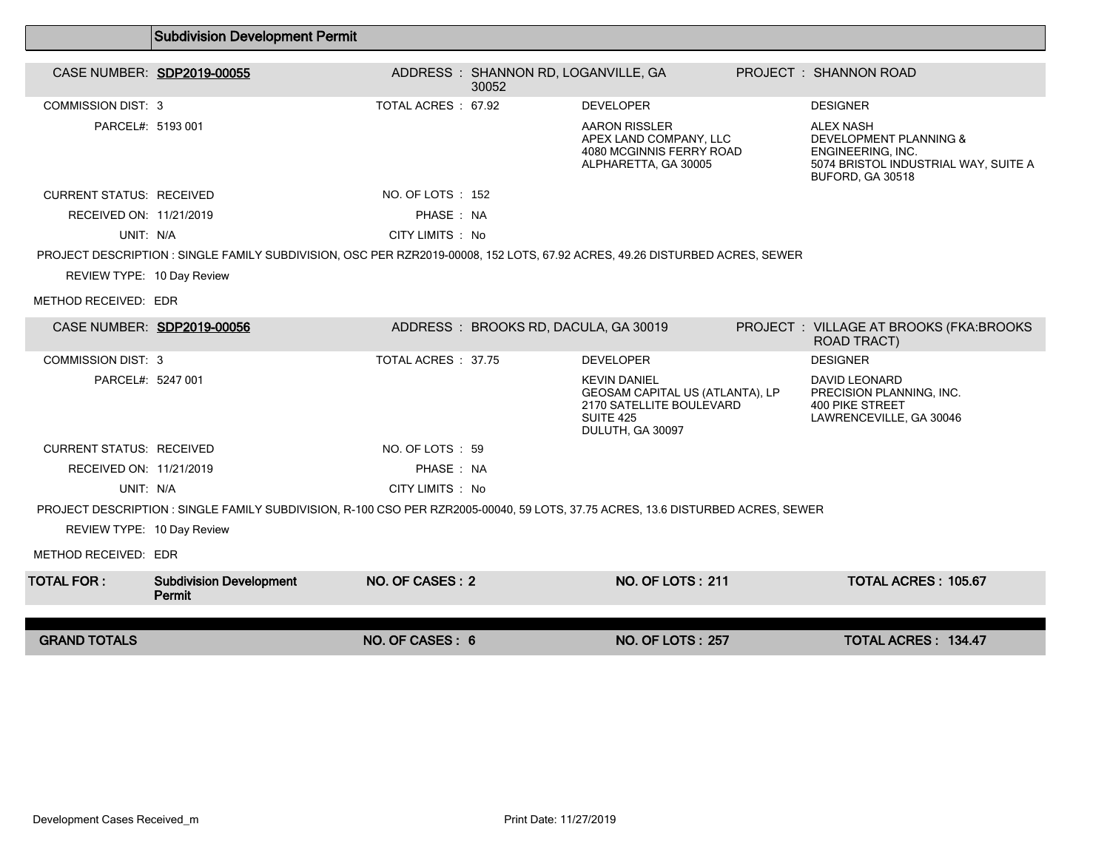|                                 | <b>Subdivision Development Permit</b>                                                                                           |                     |                                              |                                                                                                                            |                                                                                                                                        |
|---------------------------------|---------------------------------------------------------------------------------------------------------------------------------|---------------------|----------------------------------------------|----------------------------------------------------------------------------------------------------------------------------|----------------------------------------------------------------------------------------------------------------------------------------|
| CASE NUMBER: SDP2019-00055      |                                                                                                                                 |                     | ADDRESS: SHANNON RD, LOGANVILLE, GA<br>30052 |                                                                                                                            | PROJECT : SHANNON ROAD                                                                                                                 |
| <b>COMMISSION DIST: 3</b>       |                                                                                                                                 | TOTAL ACRES: 67.92  |                                              | <b>DEVELOPER</b>                                                                                                           | <b>DESIGNER</b>                                                                                                                        |
| PARCEL#: 5193 001               |                                                                                                                                 |                     |                                              | <b>AARON RISSLER</b><br>APEX LAND COMPANY, LLC<br>4080 MCGINNIS FERRY ROAD<br>ALPHARETTA, GA 30005                         | <b>ALEX NASH</b><br><b>DEVELOPMENT PLANNING &amp;</b><br>ENGINEERING, INC.<br>5074 BRISTOL INDUSTRIAL WAY, SUITE A<br>BUFORD, GA 30518 |
| <b>CURRENT STATUS: RECEIVED</b> |                                                                                                                                 | NO. OF LOTS: 152    |                                              |                                                                                                                            |                                                                                                                                        |
| RECEIVED ON: 11/21/2019         |                                                                                                                                 | PHASE: NA           |                                              |                                                                                                                            |                                                                                                                                        |
| UNIT: N/A                       |                                                                                                                                 | CITY LIMITS : No    |                                              |                                                                                                                            |                                                                                                                                        |
|                                 | PROJECT DESCRIPTION : SINGLE FAMILY SUBDIVISION, OSC PER RZR2019-00008, 152 LOTS, 67.92 ACRES, 49.26 DISTURBED ACRES, SEWER     |                     |                                              |                                                                                                                            |                                                                                                                                        |
| REVIEW TYPE: 10 Day Review      |                                                                                                                                 |                     |                                              |                                                                                                                            |                                                                                                                                        |
| METHOD RECEIVED: EDR            |                                                                                                                                 |                     |                                              |                                                                                                                            |                                                                                                                                        |
| CASE NUMBER: SDP2019-00056      |                                                                                                                                 |                     | ADDRESS: BROOKS RD, DACULA, GA 30019         |                                                                                                                            | PROJECT: VILLAGE AT BROOKS (FKA:BROOKS<br><b>ROAD TRACT)</b>                                                                           |
| <b>COMMISSION DIST: 3</b>       |                                                                                                                                 | TOTAL ACRES : 37.75 |                                              | <b>DEVELOPER</b>                                                                                                           | <b>DESIGNER</b>                                                                                                                        |
| PARCEL#: 5247 001               |                                                                                                                                 |                     |                                              | <b>KEVIN DANIEL</b><br>GEOSAM CAPITAL US (ATLANTA), LP<br>2170 SATELLITE BOULEVARD<br><b>SUITE 425</b><br>DULUTH, GA 30097 | <b>DAVID LEONARD</b><br>PRECISION PLANNING, INC.<br><b>400 PIKE STREET</b><br>LAWRENCEVILLE, GA 30046                                  |
| <b>CURRENT STATUS: RECEIVED</b> |                                                                                                                                 | NO. OF LOTS: 59     |                                              |                                                                                                                            |                                                                                                                                        |
| RECEIVED ON: 11/21/2019         |                                                                                                                                 | PHASE: NA           |                                              |                                                                                                                            |                                                                                                                                        |
| UNIT: N/A                       |                                                                                                                                 | CITY LIMITS : No    |                                              |                                                                                                                            |                                                                                                                                        |
|                                 | PROJECT DESCRIPTION : SINGLE FAMILY SUBDIVISION, R-100 CSO PER RZR2005-00040, 59 LOTS, 37.75 ACRES, 13.6 DISTURBED ACRES, SEWER |                     |                                              |                                                                                                                            |                                                                                                                                        |
| REVIEW TYPE: 10 Day Review      |                                                                                                                                 |                     |                                              |                                                                                                                            |                                                                                                                                        |
| METHOD RECEIVED: EDR            |                                                                                                                                 |                     |                                              |                                                                                                                            |                                                                                                                                        |
| TOTAL FOR :                     | <b>Subdivision Development</b><br>Permit                                                                                        | NO. OF CASES: 2     |                                              | <b>NO. OF LOTS: 211</b>                                                                                                    | <b>TOTAL ACRES: 105.67</b>                                                                                                             |
|                                 |                                                                                                                                 |                     |                                              |                                                                                                                            |                                                                                                                                        |
| <b>GRAND TOTALS</b>             |                                                                                                                                 | NO. OF CASES: 6     |                                              | <b>NO. OF LOTS: 257</b>                                                                                                    | <b>TOTAL ACRES: 134.47</b>                                                                                                             |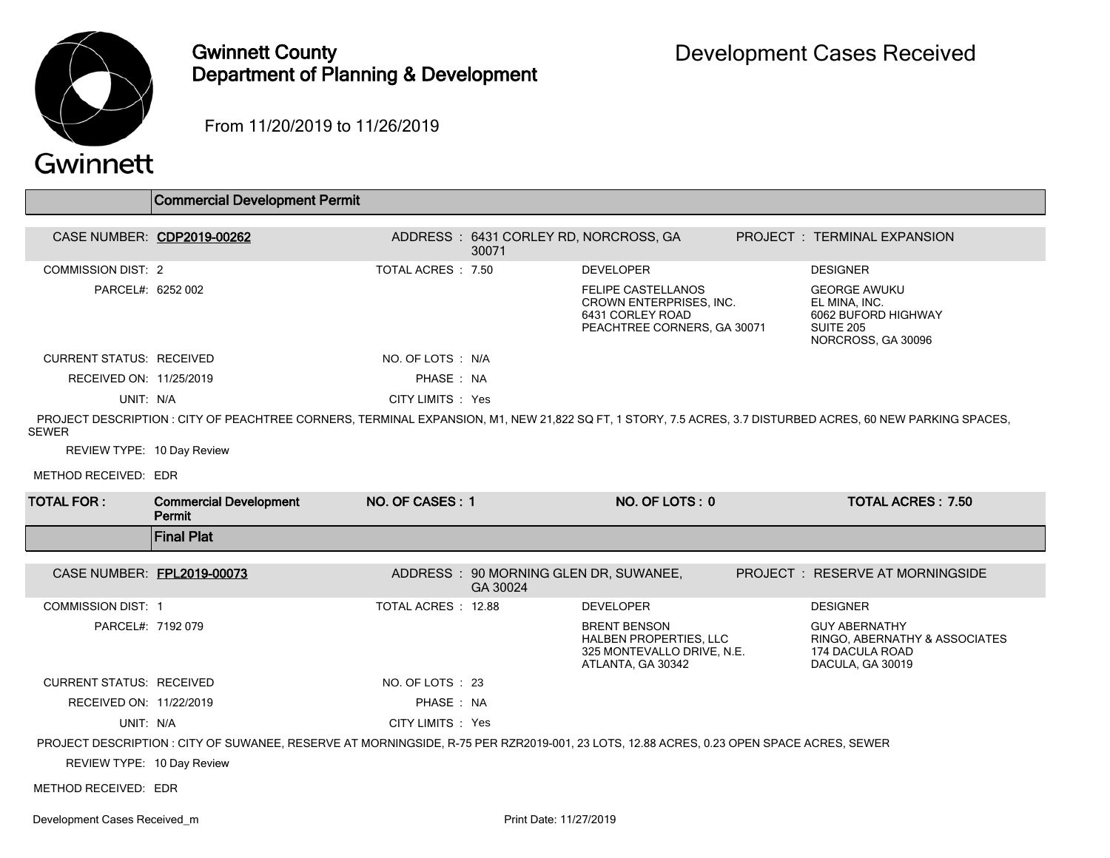

## Gwinnett County Department of Planning & Development

From 11/20/2019 to 11/26/2019

|                                 | <b>Commercial Development Permit</b>                                                                                                                       |                    |                                                    |                                                                                                         |                                                                                                       |
|---------------------------------|------------------------------------------------------------------------------------------------------------------------------------------------------------|--------------------|----------------------------------------------------|---------------------------------------------------------------------------------------------------------|-------------------------------------------------------------------------------------------------------|
|                                 |                                                                                                                                                            |                    |                                                    |                                                                                                         |                                                                                                       |
|                                 | CASE NUMBER: CDP2019-00262                                                                                                                                 |                    | ADDRESS: 6431 CORLEY RD, NORCROSS, GA<br>30071     |                                                                                                         | PROJECT: TERMINAL EXPANSION                                                                           |
| <b>COMMISSION DIST: 2</b>       |                                                                                                                                                            | TOTAL ACRES : 7.50 |                                                    | <b>DEVELOPER</b>                                                                                        | <b>DESIGNER</b>                                                                                       |
| PARCEL#: 6252 002               |                                                                                                                                                            |                    |                                                    | <b>FELIPE CASTELLANOS</b><br>CROWN ENTERPRISES, INC.<br>6431 CORLEY ROAD<br>PEACHTREE CORNERS, GA 30071 | <b>GEORGE AWUKU</b><br>EL MINA. INC.<br>6062 BUFORD HIGHWAY<br><b>SUITE 205</b><br>NORCROSS, GA 30096 |
| <b>CURRENT STATUS: RECEIVED</b> |                                                                                                                                                            | NO. OF LOTS: N/A   |                                                    |                                                                                                         |                                                                                                       |
| RECEIVED ON: 11/25/2019         |                                                                                                                                                            | PHASE: NA          |                                                    |                                                                                                         |                                                                                                       |
| UNIT: N/A                       |                                                                                                                                                            | CITY LIMITS : Yes  |                                                    |                                                                                                         |                                                                                                       |
| <b>SEWER</b>                    | PROJECT DESCRIPTION : CITY OF PEACHTREE CORNERS, TERMINAL EXPANSION, M1, NEW 21,822 SQ FT, 1 STORY, 7.5 ACRES, 3.7 DISTURBED ACRES, 60 NEW PARKING SPACES, |                    |                                                    |                                                                                                         |                                                                                                       |
| REVIEW TYPE: 10 Day Review      |                                                                                                                                                            |                    |                                                    |                                                                                                         |                                                                                                       |
| METHOD RECEIVED: EDR            |                                                                                                                                                            |                    |                                                    |                                                                                                         |                                                                                                       |
| <b>TOTAL FOR:</b>               |                                                                                                                                                            |                    |                                                    |                                                                                                         |                                                                                                       |
|                                 | <b>Commercial Development</b><br>Permit                                                                                                                    | NO. OF CASES: 1    |                                                    | NO. OF LOTS: 0                                                                                          | <b>TOTAL ACRES: 7.50</b>                                                                              |
|                                 | <b>Final Plat</b>                                                                                                                                          |                    |                                                    |                                                                                                         |                                                                                                       |
|                                 |                                                                                                                                                            |                    |                                                    |                                                                                                         |                                                                                                       |
| CASE NUMBER: FPL2019-00073      |                                                                                                                                                            |                    | ADDRESS : 90 MORNING GLEN DR, SUWANEE,<br>GA 30024 |                                                                                                         | <b>PROJECT : RESERVE AT MORNINGSIDE</b>                                                               |
| <b>COMMISSION DIST: 1</b>       |                                                                                                                                                            | TOTAL ACRES: 12.88 |                                                    | <b>DEVELOPER</b>                                                                                        | <b>DESIGNER</b>                                                                                       |
| PARCEL#: 7192 079               |                                                                                                                                                            |                    |                                                    | <b>BRENT BENSON</b><br><b>HALBEN PROPERTIES, LLC</b><br>325 MONTEVALLO DRIVE, N.E.<br>ATLANTA, GA 30342 | <b>GUY ABERNATHY</b><br>RINGO, ABERNATHY & ASSOCIATES<br>174 DACULA ROAD<br>DACULA, GA 30019          |
| <b>CURRENT STATUS: RECEIVED</b> |                                                                                                                                                            | NO. OF LOTS : 23   |                                                    |                                                                                                         |                                                                                                       |
| RECEIVED ON: 11/22/2019         |                                                                                                                                                            | PHASE: NA          |                                                    |                                                                                                         |                                                                                                       |
| UNIT: N/A                       |                                                                                                                                                            | CITY LIMITS : Yes  |                                                    |                                                                                                         |                                                                                                       |
|                                 | PROJECT DESCRIPTION : CITY OF SUWANEE, RESERVE AT MORNINGSIDE, R-75 PER RZR2019-001, 23 LOTS, 12.88 ACRES, 0.23 OPEN SPACE ACRES, SEWER                    |                    |                                                    |                                                                                                         |                                                                                                       |
| REVIEW TYPE: 10 Day Review      |                                                                                                                                                            |                    |                                                    |                                                                                                         |                                                                                                       |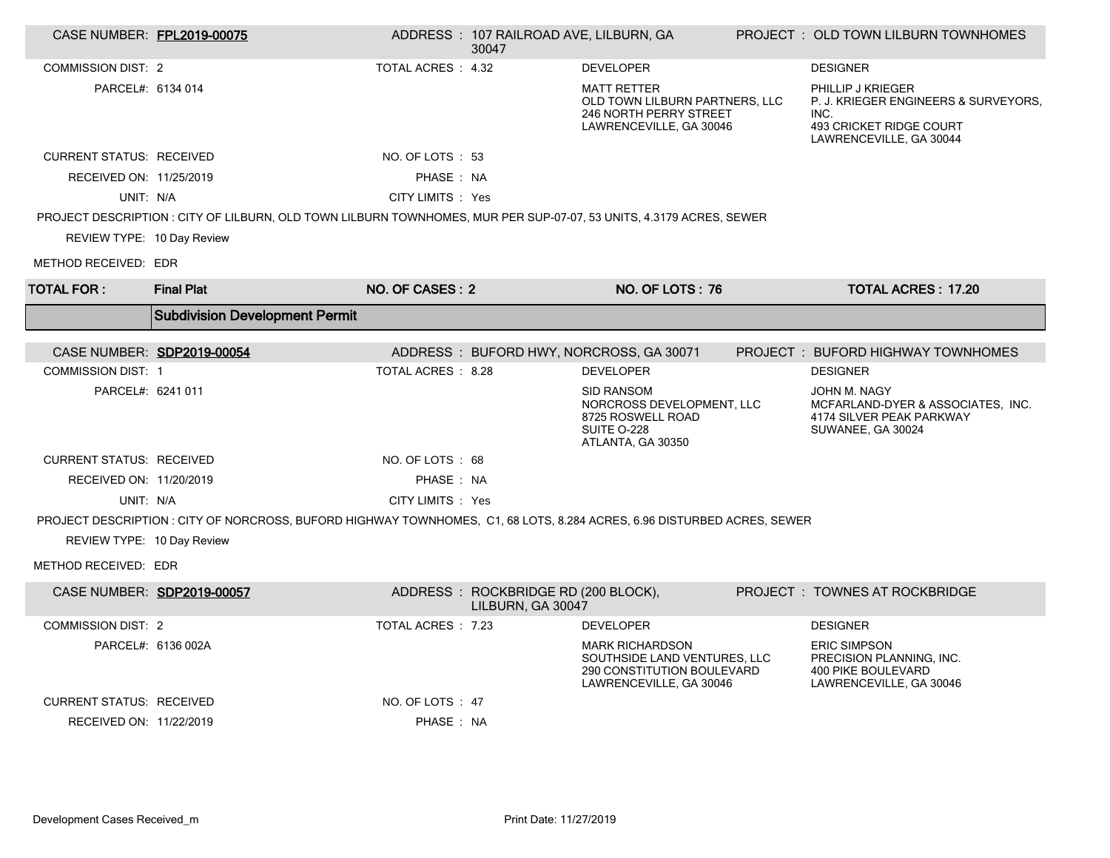| CASE NUMBER: FPL2019-00075      |                                                                                                                         |                    | ADDRESS: 107 RAILROAD AVE, LILBURN, GA<br>30047          |                                                                                                                 | PROJECT: OLD TOWN LILBURN TOWNHOMES                                                                                     |
|---------------------------------|-------------------------------------------------------------------------------------------------------------------------|--------------------|----------------------------------------------------------|-----------------------------------------------------------------------------------------------------------------|-------------------------------------------------------------------------------------------------------------------------|
| <b>COMMISSION DIST: 2</b>       |                                                                                                                         | TOTAL ACRES: 4.32  |                                                          | <b>DEVELOPER</b>                                                                                                | <b>DESIGNER</b>                                                                                                         |
| PARCEL#: 6134 014               |                                                                                                                         |                    |                                                          | <b>MATT RETTER</b><br>OLD TOWN LILBURN PARTNERS, LLC<br>246 NORTH PERRY STREET<br>LAWRENCEVILLE, GA 30046       | PHILLIP J KRIEGER<br>P. J. KRIEGER ENGINEERS & SURVEYORS.<br>INC.<br>493 CRICKET RIDGE COURT<br>LAWRENCEVILLE, GA 30044 |
| <b>CURRENT STATUS: RECEIVED</b> |                                                                                                                         | NO. OF LOTS: 53    |                                                          |                                                                                                                 |                                                                                                                         |
| RECEIVED ON: 11/25/2019         |                                                                                                                         | PHASE: NA          |                                                          |                                                                                                                 |                                                                                                                         |
| UNIT: N/A                       |                                                                                                                         | CITY LIMITS : Yes  |                                                          |                                                                                                                 |                                                                                                                         |
|                                 | PROJECT DESCRIPTION : CITY OF LILBURN, OLD TOWN LILBURN TOWNHOMES, MUR PER SUP-07-07, 53 UNITS, 4.3179 ACRES, SEWER     |                    |                                                          |                                                                                                                 |                                                                                                                         |
| REVIEW TYPE: 10 Day Review      |                                                                                                                         |                    |                                                          |                                                                                                                 |                                                                                                                         |
| METHOD RECEIVED: EDR            |                                                                                                                         |                    |                                                          |                                                                                                                 |                                                                                                                         |
| <b>TOTAL FOR:</b>               | <b>Final Plat</b>                                                                                                       | NO. OF CASES: 2    |                                                          | NO. OF LOTS: 76                                                                                                 | <b>TOTAL ACRES: 17.20</b>                                                                                               |
|                                 | <b>Subdivision Development Permit</b>                                                                                   |                    |                                                          |                                                                                                                 |                                                                                                                         |
| CASE NUMBER: SDP2019-00054      |                                                                                                                         |                    |                                                          | ADDRESS: BUFORD HWY, NORCROSS, GA 30071                                                                         | PROJECT : BUFORD HIGHWAY TOWNHOMES                                                                                      |
| <b>COMMISSION DIST: 1</b>       |                                                                                                                         | TOTAL ACRES : 8.28 |                                                          | <b>DEVELOPER</b>                                                                                                | <b>DESIGNER</b>                                                                                                         |
| PARCEL#: 6241 011               |                                                                                                                         |                    |                                                          | <b>SID RANSOM</b><br>NORCROSS DEVELOPMENT, LLC<br>8725 ROSWELL ROAD<br>SUITE O-228<br>ATLANTA, GA 30350         | JOHN M. NAGY<br>MCFARLAND-DYER & ASSOCIATES, INC.<br>4174 SILVER PEAK PARKWAY<br>SUWANEE, GA 30024                      |
| <b>CURRENT STATUS: RECEIVED</b> |                                                                                                                         | NO. OF LOTS: 68    |                                                          |                                                                                                                 |                                                                                                                         |
| RECEIVED ON: 11/20/2019         |                                                                                                                         | PHASE: NA          |                                                          |                                                                                                                 |                                                                                                                         |
| UNIT: N/A                       |                                                                                                                         | CITY LIMITS : Yes  |                                                          |                                                                                                                 |                                                                                                                         |
| REVIEW TYPE: 10 Day Review      | PROJECT DESCRIPTION : CITY OF NORCROSS, BUFORD HIGHWAY TOWNHOMES, C1, 68 LOTS, 8.284 ACRES, 6.96 DISTURBED ACRES, SEWER |                    |                                                          |                                                                                                                 |                                                                                                                         |
| METHOD RECEIVED: EDR            |                                                                                                                         |                    |                                                          |                                                                                                                 |                                                                                                                         |
| CASE NUMBER: SDP2019-00057      |                                                                                                                         |                    | ADDRESS: ROCKBRIDGE RD (200 BLOCK),<br>LILBURN. GA 30047 |                                                                                                                 | PROJECT : TOWNES AT ROCKBRIDGE                                                                                          |
| <b>COMMISSION DIST: 2</b>       |                                                                                                                         | TOTAL ACRES : 7.23 |                                                          | <b>DEVELOPER</b>                                                                                                | <b>DESIGNER</b>                                                                                                         |
|                                 |                                                                                                                         |                    |                                                          |                                                                                                                 |                                                                                                                         |
|                                 | PARCEL#: 6136 002A                                                                                                      |                    |                                                          | <b>MARK RICHARDSON</b><br>SOUTHSIDE LAND VENTURES, LLC<br>290 CONSTITUTION BOULEVARD<br>LAWRENCEVILLE, GA 30046 | <b>ERIC SIMPSON</b><br>PRECISION PLANNING, INC.<br><b>400 PIKE BOULEVARD</b><br>LAWRENCEVILLE, GA 30046                 |
| <b>CURRENT STATUS: RECEIVED</b> |                                                                                                                         | NO. OF LOTS : 47   |                                                          |                                                                                                                 |                                                                                                                         |